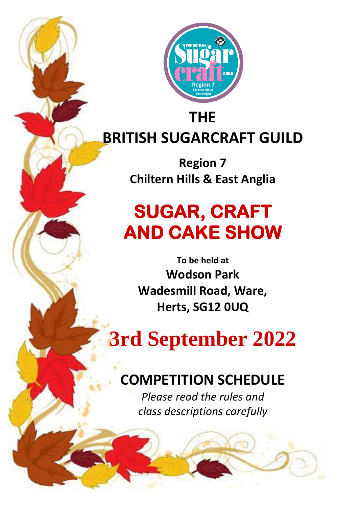

# **BRITISH SUGARCRAFT GUILD**

**Region 7 Chiltern Hills & East Anglia**

## **SUGAR, CRAFT AND CAKE SHOW**

**To be held at Wodson Park Wadesmill Road, Ware, Herts, SG12 0UQ**

# **3rd September 2022**

### **COMPETITION SCHEDULE**

*Please read the rules and class descriptions carefully*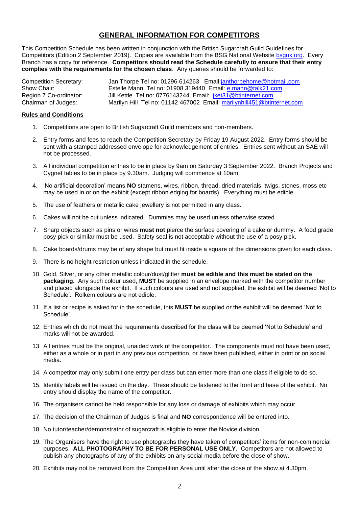#### **GENERAL INFORMATION FOR COMPETITORS**

This Competition Schedule has been written in conjunction with the British Sugarcraft Guild Guidelines for Competitors (Edition 2 September 2019). Copies are available from the BSG National Website [bsguk.org.](mailto:info@bsguk.org) Every Branch has a copy for reference. **Competitors should read the Schedule carefully to ensure that their entry complies with the requirements for the chosen class**. Any queries should be forwarded to:

Competition Secretary: Jan Thorpe Tel no: 01296 614263 Email: *janthorpehome@hotmail.com*<br>Show Chair: Show Chair: Estelle Mann Tel no: 01908 319440 Email: e.mann@talk21.com Show Chair: Estelle Mann Tel no: 01908 319440 Email: [e.mann@talk21.com](mailto:e.mann@talk21.com)<br>Region 7 Co-ordinator: Jill Kettle Tel no: 0776143244 Email: jket31@btinternet.com Region 7 Co-ordinator: Jill Kettle Tel no: 0776143244 Email: *jket31@btinternet.com*<br>Chairman of Judges: Marilyn Hill Tel no: 01142 467002 Email: marilynhill451@btin Marilyn Hill Tel no: 01142 467002 Email: [marilynhill451@btinternet.com](mailto:marilynhill451@btinternet.com)

#### **Rules and Conditions**

- 1. Competitions are open to British Sugarcraft Guild members and non-members.
- 2. Entry forms and fees to reach the Competition Secretary by Friday 19 August 2022. Entry forms should be sent with a stamped addressed envelope for acknowledgement of entries. Entries sent without an SAE will not be processed.
- 3. All individual competition entries to be in place by 9am on Saturday 3 September 2022. Branch Projects and Cygnet tables to be in place by 9.30am. Judging will commence at 10am.
- 4. 'No artificial decoration' means **NO** stamens, wires, ribbon, thread, dried materials, twigs, stones, moss etc may be used in or on the exhibit (except ribbon edging for boards). Everything must be edible.
- 5. The use of feathers or metallic cake jewellery is not permitted in any class.
- 6. Cakes will not be cut unless indicated. Dummies may be used unless otherwise stated.
- 7. Sharp objects such as pins or wires **must not** pierce the surface covering of a cake or dummy. A food grade posy pick or similar must be used. Safety seal is not acceptable without the use of a posy pick.
- 8. Cake boards/drums may be of any shape but must fit inside a square of the dimensions given for each class.
- 9. There is no height restriction unless indicated in the schedule.
- 10. Gold, Silver, or any other metallic colour/dust/glitter **must be edible and this must be stated on the packaging.** Any such colour used, **MUST** be supplied in an envelope marked with the competitor number and placed alongside the exhibit. If such colours are used and not supplied, the exhibit will be deemed 'Not to Schedule'. Rolkem colours are not edible.
- 11. If a list or recipe is asked for in the schedule, this **MUST** be supplied or the exhibit will be deemed 'Not to Schedule'.
- 12. Entries which do not meet the requirements described for the class will be deemed 'Not to Schedule' and marks will not be awarded.
- 13. All entries must be the original, unaided work of the competitor. The components must not have been used, either as a whole or in part in any previous competition, or have been published, either in print or on social media.
- 14. A competitor may only submit one entry per class but can enter more than one class if eligible to do so.
- 15. Identity labels will be issued on the day. These should be fastened to the front and base of the exhibit. No entry should display the name of the competitor.
- 16. The organisers cannot be held responsible for any loss or damage of exhibits which may occur.
- 17. The decision of the Chairman of Judges is final and **NO** correspondence will be entered into.
- 18. No tutor/teacher/demonstrator of sugarcraft is eligible to enter the Novice division.
- 19. The Organisers have the right to use photographs they have taken of competitors' items for non-commercial purposes. **ALL PHOTOGRAPHY TO BE FOR PERSONAL USE ONLY**. Competitors are not allowed to publish any photographs of any of the exhibits on any social media before the close of show.
- 20. Exhibits may not be removed from the Competition Area until after the close of the show at 4.30pm.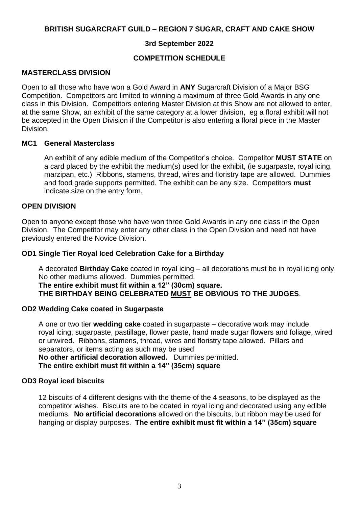#### **BRITISH SUGARCRAFT GUILD – REGION 7 SUGAR, CRAFT AND CAKE SHOW**

#### **3rd September 2022**

#### **COMPETITION SCHEDULE**

#### **MASTERCLASS DIVISION**

Open to all those who have won a Gold Award in **ANY** Sugarcraft Division of a Major BSG Competition. Competitors are limited to winning a maximum of three Gold Awards in any one class in this Division. Competitors entering Master Division at this Show are not allowed to enter, at the same Show, an exhibit of the same category at a lower division, eg a floral exhibit will not be accepted in the Open Division if the Competitor is also entering a floral piece in the Master Division.

#### **MC1 General Masterclass**

An exhibit of any edible medium of the Competitor's choice. Competitor **MUST STATE** on a card placed by the exhibit the medium(s) used for the exhibit, (ie sugarpaste, royal icing, marzipan, etc.) Ribbons, stamens, thread, wires and floristry tape are allowed. Dummies and food grade supports permitted. The exhibit can be any size. Competitors **must** indicate size on the entry form.

#### **OPEN DIVISION**

Open to anyone except those who have won three Gold Awards in any one class in the Open Division. The Competitor may enter any other class in the Open Division and need not have previously entered the Novice Division.

#### **OD1 Single Tier Royal Iced Celebration Cake for a Birthday**

A decorated **Birthday Cake** coated in royal icing – all decorations must be in royal icing only. No other mediums allowed. Dummies permitted.

**The entire exhibit must fit within a 12" (30cm) square.**

**THE BIRTHDAY BEING CELEBRATED MUST BE OBVIOUS TO THE JUDGES**.

#### **OD2 Wedding Cake coated in Sugarpaste**

A one or two tier **wedding cake** coated in sugarpaste – decorative work may include royal icing, sugarpaste, pastillage, flower paste, hand made sugar flowers and foliage, wired or unwired. Ribbons, stamens, thread, wires and floristry tape allowed. Pillars and separators, or items acting as such may be used

**No other artificial decoration allowed.** Dummies permitted. **The entire exhibit must fit within a 14" (35cm) square**

#### **OD3 Royal iced biscuits**

12 biscuits of 4 different designs with the theme of the 4 seasons, to be displayed as the competitor wishes. Biscuits are to be coated in royal icing and decorated using any edible mediums. **No artificial decorations** allowed on the biscuits, but ribbon may be used for hanging or display purposes. **The entire exhibit must fit within a 14" (35cm) square**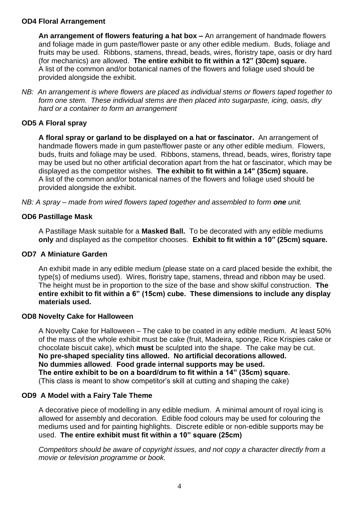#### **OD4 Floral Arrangement**

**An arrangement of flowers featuring a hat box –** An arrangement of handmade flowers and foliage made in gum paste/flower paste or any other edible medium. Buds, foliage and fruits may be used. Ribbons, stamens, thread, beads, wires, floristry tape, oasis or dry hard (for mechanics) are allowed. **The entire exhibit to fit within a 12" (30cm) square.**  A list of the common and/or botanical names of the flowers and foliage used should be provided alongside the exhibit.

*NB: An arrangement is where flowers are placed as individual stems or flowers taped together to form one stem. These individual stems are then placed into sugarpaste, icing, oasis, dry hard or a container to form an arrangement*

#### **OD5 A Floral spray**

**A floral spray or garland to be displayed on a hat or fascinator.** An arrangement of handmade flowers made in gum paste/flower paste or any other edible medium. Flowers, buds, fruits and foliage may be used. Ribbons, stamens, thread, beads, wires, floristry tape may be used but no other artificial decoration apart from the hat or fascinator, which may be displayed as the competitor wishes. **The exhibit to fit within a 14" (35cm) square.** A list of the common and/or botanical names of the flowers and foliage used should be provided alongside the exhibit.

*NB: A spray – made from wired flowers taped together and assembled to form one unit.* 

#### **OD6 Pastillage Mask**

A Pastillage Mask suitable for a **Masked Ball.** To be decorated with any edible mediums **only** and displayed as the competitor chooses. **Exhibit to fit within a 10" (25cm) square.** 

#### **OD7 A Miniature Garden**

An exhibit made in any edible medium (please state on a card placed beside the exhibit, the type(s) of mediums used). Wires, floristry tape, stamens, thread and ribbon may be used. The height must be in proportion to the size of the base and show skilful construction. **The entire exhibit to fit within a 6" (15cm) cube. These dimensions to include any display materials used.**

#### **OD8 Novelty Cake for Halloween**

A Novelty Cake for Halloween – The cake to be coated in any edible medium. At least 50% of the mass of the whole exhibit must be cake (fruit, Madeira, sponge, Rice Krispies cake or chocolate biscuit cake), which **must** be sculpted into the shape. The cake may be cut. **No pre-shaped speciality tins allowed. No artificial decorations allowed. No dummies allowed**. **Food grade internal supports may be used. The entire exhibit to be on a board/drum to fit within a 14" (35cm) square.** (This class is meant to show competitor's skill at cutting and shaping the cake)

#### **OD9 A Model with a Fairy Tale Theme**

A decorative piece of modelling in any edible medium. A minimal amount of royal icing is allowed for assembly and decoration. Edible food colours may be used for colouring the mediums used and for painting highlights. Discrete edible or non-edible supports may be used. **The entire exhibit must fit within a 10" square (25cm)**

*Competitors should be aware of copyright issues, and not copy a character directly from a movie or television programme or book.*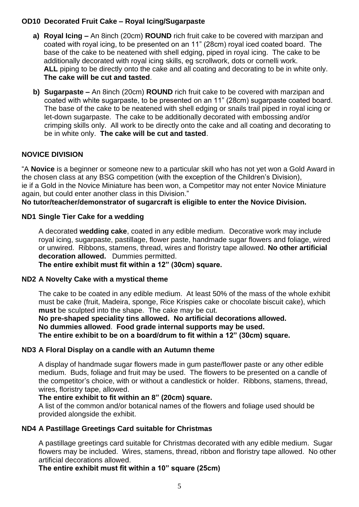#### **OD10 Decorated Fruit Cake – Royal Icing/Sugarpaste**

- **a) Royal Icing –** An 8inch (20cm) **ROUND** rich fruit cake to be covered with marzipan and coated with royal icing, to be presented on an 11" (28cm) royal iced coated board. The base of the cake to be neatened with shell edging, piped in royal icing. The cake to be additionally decorated with royal icing skills, eg scrollwork, dots or cornelli work. ALL piping to be directly onto the cake and all coating and decorating to be in white only. **The cake will be cut and tasted**.
- **b) Sugarpaste –** An 8inch (20cm) **ROUND** rich fruit cake to be covered with marzipan and coated with white sugarpaste, to be presented on an 11" (28cm) sugarpaste coated board. The base of the cake to be neatened with shell edging or snails trail piped in royal icing or let-down sugarpaste. The cake to be additionally decorated with embossing and/or crimping skills only. All work to be directly onto the cake and all coating and decorating to be in white only. **The cake will be cut and tasted**.

#### **NOVICE DIVISION**

"A **Novice** is a beginner or someone new to a particular skill who has not yet won a Gold Award in the chosen class at any BSG competition (with the exception of the Children's Division), ie if a Gold in the Novice Miniature has been won, a Competitor may not enter Novice Miniature again, but could enter another class in this Division."

**No tutor/teacher/demonstrator of sugarcraft is eligible to enter the Novice Division.**

#### **ND1 Single Tier Cake for a wedding**

A decorated **wedding cake**, coated in any edible medium. Decorative work may include royal icing, sugarpaste, pastillage, flower paste, handmade sugar flowers and foliage, wired or unwired. Ribbons, stamens, thread, wires and floristry tape allowed. **No other artificial decoration allowed.** Dummies permitted.

**The entire exhibit must fit within a 12" (30cm) square.**

#### **ND2 A Novelty Cake with a mystical theme**

The cake to be coated in any edible medium. At least 50% of the mass of the whole exhibit must be cake (fruit, Madeira, sponge, Rice Krispies cake or chocolate biscuit cake), which **must** be sculpted into the shape. The cake may be cut.

**No pre-shaped speciality tins allowed. No artificial decorations allowed. No dummies allowed**. **Food grade internal supports may be used. The entire exhibit to be on a board/drum to fit within a 12" (30cm) square.**

#### **ND3 A Floral Display on a candle with an Autumn theme**

A display of handmade sugar flowers made in gum paste/flower paste or any other edible medium. Buds, foliage and fruit may be used. The flowers to be presented on a candle of the competitor's choice, with or without a candlestick or holder. Ribbons, stamens, thread, wires, floristry tape, allowed.

#### **The entire exhibit to fit within an 8" (20cm) square.**

A list of the common and/or botanical names of the flowers and foliage used should be provided alongside the exhibit.

#### **ND4 A Pastillage Greetings Card suitable for Christmas**

A pastillage greetings card suitable for Christmas decorated with any edible medium. Sugar flowers may be included. Wires, stamens, thread, ribbon and floristry tape allowed. No other artificial decorations allowed.

**The entire exhibit must fit within a 10" square (25cm)**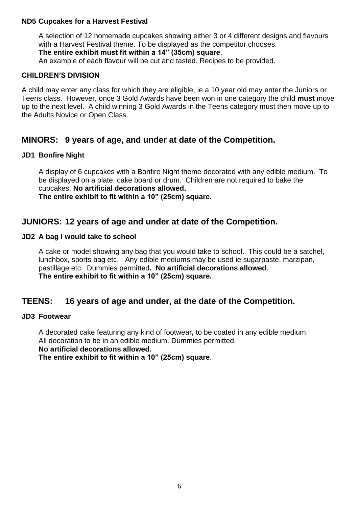#### **ND5 Cupcakes for a Harvest Festival**

A selection of 12 homemade cupcakes showing either 3 or 4 different designs and flavours with a Harvest Festival theme. To be displayed as the competitor chooses. **The entire exhibit must fit within a 14" (35cm) square**.

An example of each flavour will be cut and tasted. Recipes to be provided.

#### **CHILDREN'S DIVISION**

A child may enter any class for which they are eligible, ie a 10 year old may enter the Juniors or Teens class. However, once 3 Gold Awards have been won in one category the child **must** move up to the next level. A child winning 3 Gold Awards in the Teens category must then move up to the Adults Novice or Open Class.

#### **MINORS: 9 years of age, and under at date of the Competition.**

#### **JD1 Bonfire Night**

A display of 6 cupcakes with a Bonfire Night theme decorated with any edible medium. To be displayed on a plate, cake board or drum. Children are not required to bake the cupcakes. **No artificial decorations allowed. The entire exhibit to fit within a 10" (25cm) square.**

#### **JUNIORS: 12 years of age and under at date of the Competition.**

#### **JD2 A bag I would take to school**

A cake or model showing any bag that you would take to school. This could be a satchel, lunchbox, sports bag etc. Any edible mediums may be used ie sugarpaste, marzipan, pastillage etc. Dummies permitted**. No artificial decorations allowed**. **The entire exhibit to fit within a 10" (25cm) square.**

#### **TEENS: 16 years of age and under, at the date of the Competition.**

#### **JD3 Footwear**

A decorated cake featuring any kind of footwear**,** to be coated in any edible medium. All decoration to be in an edible medium. Dummies permitted. **No artificial decorations allowed. The entire exhibit to fit within a 10" (25cm) square**.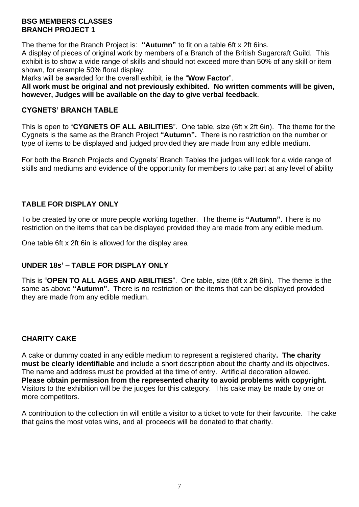#### **BSG MEMBERS CLASSES BRANCH PROJECT 1**

The theme for the Branch Project is: **"Autumn"** to fit on a table 6ft x 2ft 6ins.

A display of pieces of original work by members of a Branch of the British Sugarcraft Guild. This exhibit is to show a wide range of skills and should not exceed more than 50% of any skill or item shown, for example 50% floral display.

Marks will be awarded for the overall exhibit, ie the "**Wow Factor**".

**All work must be original and not previously exhibited. No written comments will be given, however, Judges will be available on the day to give verbal feedback.**

#### **CYGNETS' BRANCH TABLE**

This is open to "**CYGNETS OF ALL ABILITIES**". One table, size (6ft x 2ft 6in). The theme for the Cygnets is the same as the Branch Project **"Autumn".** There is no restriction on the number or type of items to be displayed and judged provided they are made from any edible medium.

For both the Branch Projects and Cygnets' Branch Tables the judges will look for a wide range of skills and mediums and evidence of the opportunity for members to take part at any level of ability

#### **TABLE FOR DISPLAY ONLY**

To be created by one or more people working together. The theme is **"Autumn"**. There is no restriction on the items that can be displayed provided they are made from any edible medium.

One table 6ft x 2ft 6in is allowed for the display area

#### **UNDER 18s' – TABLE FOR DISPLAY ONLY**

This is "**OPEN TO ALL AGES AND ABILITIES**". One table, size (6ft x 2ft 6in). The theme is the same as above **"Autumn".** There is no restriction on the items that can be displayed provided they are made from any edible medium.

#### **CHARITY CAKE**

A cake or dummy coated in any edible medium to represent a registered charity**. The charity must be clearly identifiable** and include a short description about the charity and its objectives. The name and address must be provided at the time of entry. Artificial decoration allowed. **Please obtain permission from the represented charity to avoid problems with copyright.** Visitors to the exhibition will be the judges for this category. This cake may be made by one or more competitors.

A contribution to the collection tin will entitle a visitor to a ticket to vote for their favourite. The cake that gains the most votes wins, and all proceeds will be donated to that charity.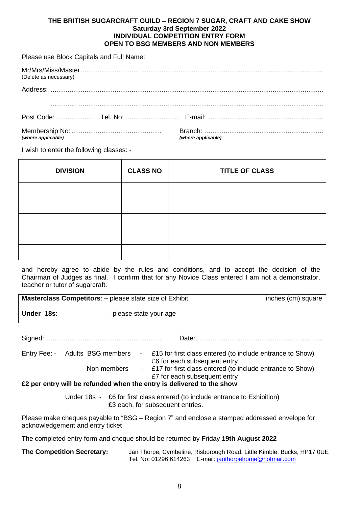#### **THE BRITISH SUGARCRAFT GUILD – REGION 7 SUGAR, CRAFT AND CAKE SHOW Saturday 3rd September 2022 INDIVIDUAL COMPETITION ENTRY FORM OPEN TO BSG MEMBERS AND NON MEMBERS**

Please use Block Capitals and Full Name:

| (Delete as necessary) |                    |
|-----------------------|--------------------|
|                       |                    |
|                       |                    |
|                       | (where applicable) |

I wish to enter the following classes: -

| <b>DIVISION</b> | <b>CLASS NO</b> | <b>TITLE OF CLASS</b> |
|-----------------|-----------------|-----------------------|
|                 |                 |                       |
|                 |                 |                       |
|                 |                 |                       |
|                 |                 |                       |
|                 |                 |                       |

and hereby agree to abide by the rules and conditions, and to accept the decision of the Chairman of Judges as final. I confirm that for any Novice Class entered I am not a demonstrator, teacher or tutor of sugarcraft.

|            | <b>Masterclass Competitors:</b> – please state size of Exhibit | inches (cm) square |
|------------|----------------------------------------------------------------|--------------------|
| Under 18s: | - please state your age                                        |                    |

Signed: .............................................................. Date:....................................................................

Entry Fee: - Adults BSG members - £15 for first class entered (to include entrance to Show) £6 for each subsequent entry Non members - £17 for first class entered (to include entrance to Show)

£7 for each subsequent entry

**£2 per entry will be refunded when the entry is delivered to the show**

Under 18s - £6 for first class entered (to include entrance to Exhibition) £3 each, for subsequent entries.

Please make cheques payable to "BSG – Region 7" and enclose a stamped addressed envelope for acknowledgement and entry ticket

The completed entry form and cheque should be returned by Friday **19th August 2022**

**The Competition Secretary:** Jan Thorpe, Cymbeline, Risborough Road, Little Kimble, Bucks, HP17 0UE Tel. No: 01296 614263 E-mail: [janthorpehome@hotmail.com](mailto:janthorpehome@hotmail.com)